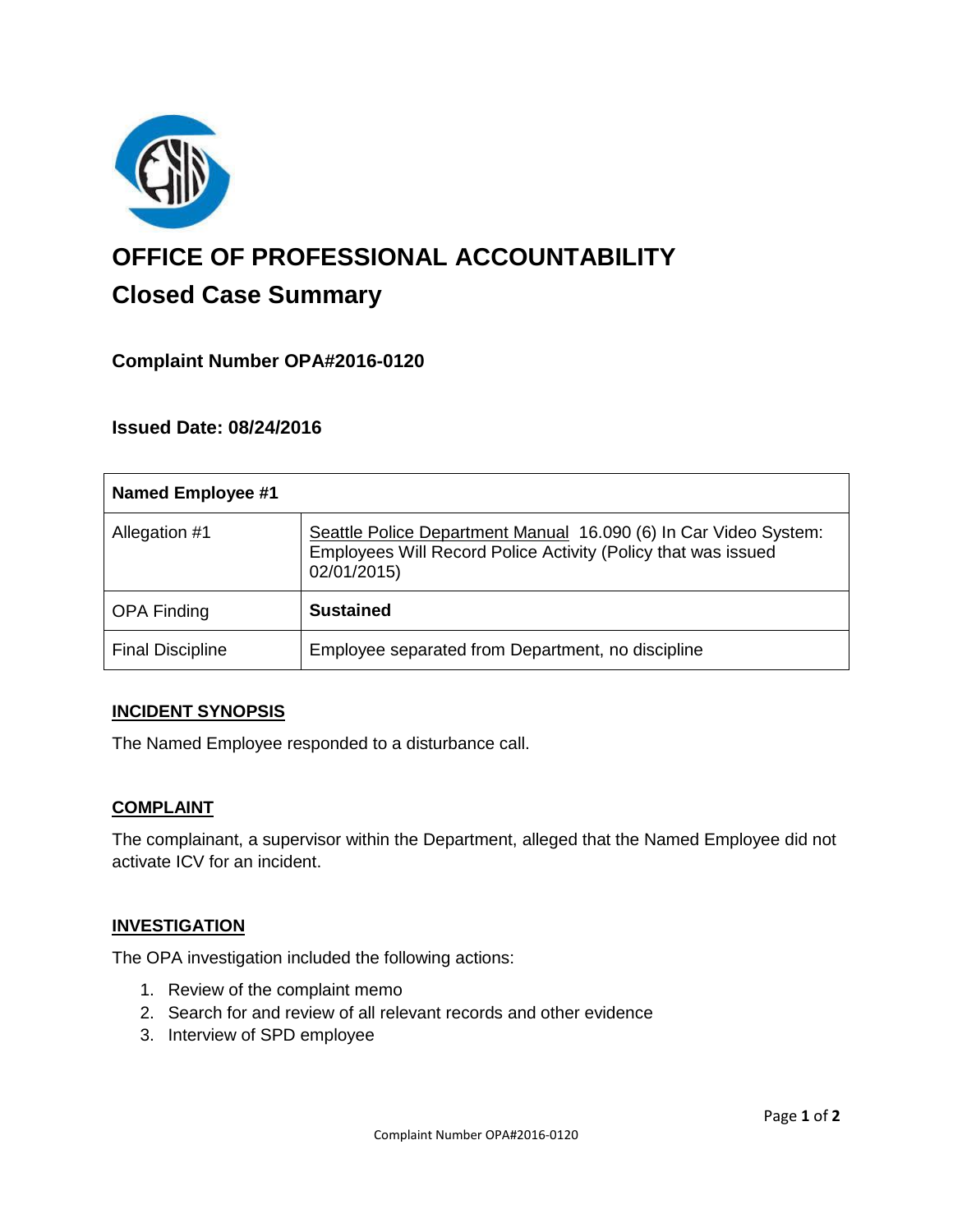

# **OFFICE OF PROFESSIONAL ACCOUNTABILITY Closed Case Summary**

## **Complaint Number OPA#2016-0120**

**Issued Date: 08/24/2016**

| <b>Named Employee #1</b> |                                                                                                                                                  |
|--------------------------|--------------------------------------------------------------------------------------------------------------------------------------------------|
| Allegation #1            | Seattle Police Department Manual 16.090 (6) In Car Video System:<br>Employees Will Record Police Activity (Policy that was issued<br>02/01/2015) |
| <b>OPA Finding</b>       | <b>Sustained</b>                                                                                                                                 |
| <b>Final Discipline</b>  | Employee separated from Department, no discipline                                                                                                |

### **INCIDENT SYNOPSIS**

The Named Employee responded to a disturbance call.

#### **COMPLAINT**

The complainant, a supervisor within the Department, alleged that the Named Employee did not activate ICV for an incident.

### **INVESTIGATION**

The OPA investigation included the following actions:

- 1. Review of the complaint memo
- 2. Search for and review of all relevant records and other evidence
- 3. Interview of SPD employee